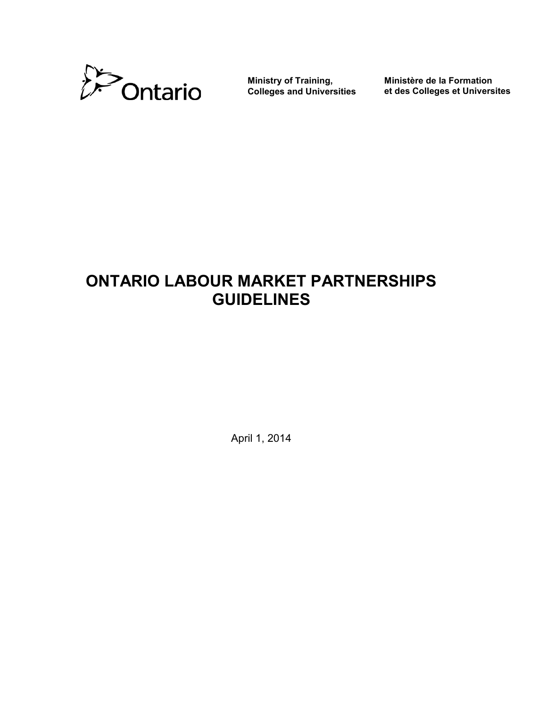

**Ministry of Training, Colleges and Universities**

**Ministère de la Formation et des Colleges et Universites** 

# **ONTARIO LABOUR MARKET PARTNERSHIPS GUIDELINES**

April 1, 2014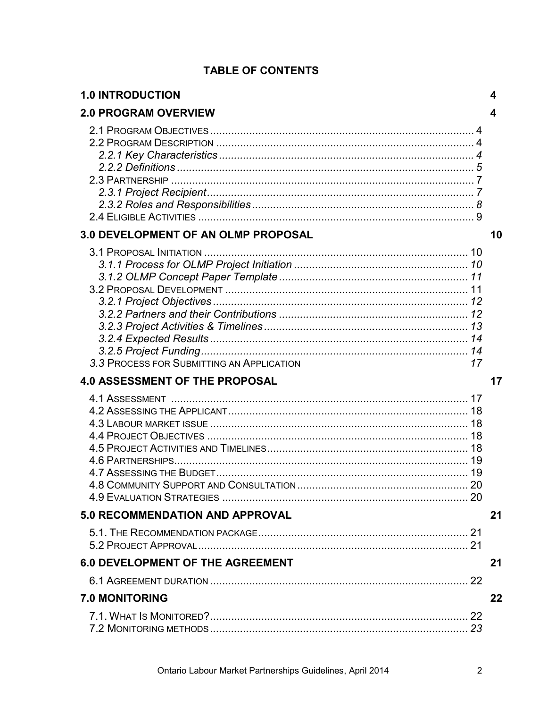| <b>1.0 INTRODUCTION</b>                         | 4  |
|-------------------------------------------------|----|
| <b>2.0 PROGRAM OVERVIEW</b>                     | 4  |
|                                                 |    |
| 3.0 DEVELOPMENT OF AN OLMP PROPOSAL             | 10 |
| 3.3 PROCESS FOR SUBMITTING AN APPLICATION<br>17 |    |
| <b>4.0 ASSESSMENT OF THE PROPOSAL</b>           | 17 |
| 4.6 PARTNERSHIPS                                |    |
| 5.0 RECOMMENDATION AND APPROVAL                 | 21 |
|                                                 |    |
| <b>6.0 DEVELOPMENT OF THE AGREEMENT</b>         | 21 |
|                                                 |    |
| <b>7.0 MONITORING</b>                           | 22 |
|                                                 |    |

# **TABLE OF CONTENTS**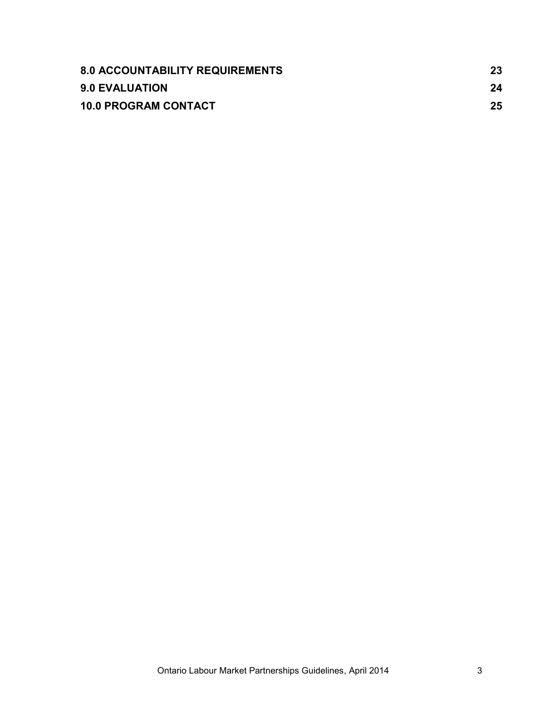| <b>8.0 ACCOUNTABILITY REQUIREMENTS</b> | 23 |
|----------------------------------------|----|
| <b>9.0 EVALUATION</b>                  | 24 |
| <b>10.0 PROGRAM CONTACT</b>            | 25 |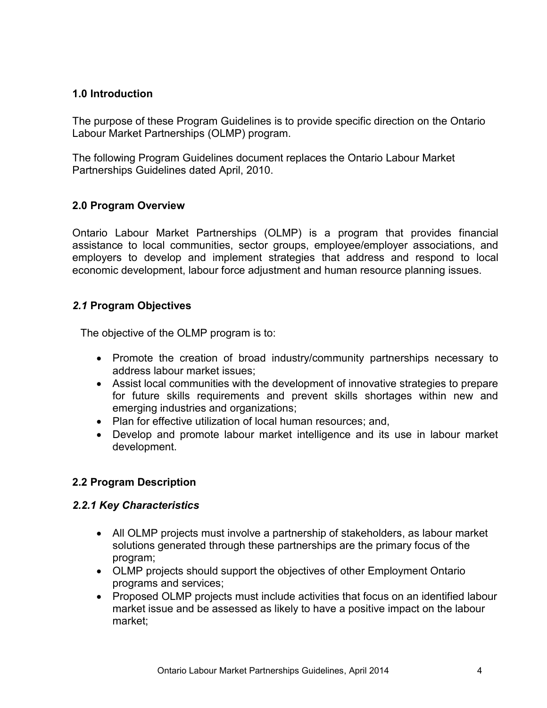# <span id="page-3-0"></span>**1.0 Introduction**

The purpose of these Program Guidelines is to provide specific direction on the Ontario Labour Market Partnerships (OLMP) program.

The following Program Guidelines document replaces the Ontario Labour Market Partnerships Guidelines dated April, 2010.

# <span id="page-3-1"></span>**2.0 Program Overview**

Ontario Labour Market Partnerships (OLMP) is a program that provides financial assistance to local communities, sector groups, employee/employer associations, and employers to develop and implement strategies that address and respond to local economic development, labour force adjustment and human resource planning issues.

# <span id="page-3-2"></span>*2.1* **Program Objectives**

The objective of the OLMP program is to:

- Promote the creation of broad industry/community partnerships necessary to address labour market issues;
- Assist local communities with the development of innovative strategies to prepare for future skills requirements and prevent skills shortages within new and emerging industries and organizations;
- Plan for effective utilization of local human resources; and,
- Develop and promote labour market intelligence and its use in labour market development.

# <span id="page-3-3"></span>**2.2 Program Description**

## <span id="page-3-4"></span>*2.2.1 Key Characteristics*

- All OLMP projects must involve a partnership of stakeholders, as labour market solutions generated through these partnerships are the primary focus of the program;
- OLMP projects should support the objectives of other Employment Ontario programs and services;
- Proposed OLMP projects must include activities that focus on an identified labour market issue and be assessed as likely to have a positive impact on the labour market;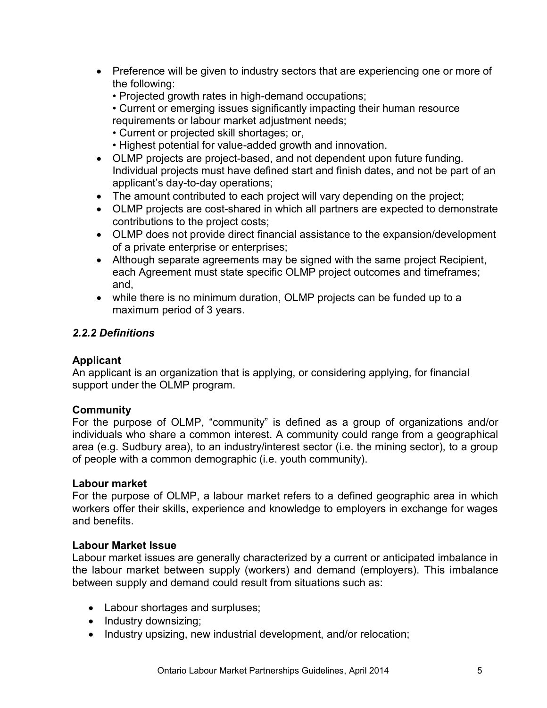- Preference will be given to industry sectors that are experiencing one or more of the following:
	- Projected growth rates in high-demand occupations;
	- Current or emerging issues significantly impacting their human resource requirements or labour market adjustment needs;
	- Current or projected skill shortages; or,
	- Highest potential for value-added growth and innovation.
- OLMP projects are project-based, and not dependent upon future funding. Individual projects must have defined start and finish dates, and not be part of an applicant's day-to-day operations;
- The amount contributed to each project will vary depending on the project;
- OLMP projects are cost-shared in which all partners are expected to demonstrate contributions to the project costs;
- OLMP does not provide direct financial assistance to the expansion/development of a private enterprise or enterprises;
- Although separate agreements may be signed with the same project Recipient, each Agreement must state specific OLMP project outcomes and timeframes; and,
- while there is no minimum duration, OLMP projects can be funded up to a maximum period of 3 years.

# <span id="page-4-0"></span>*2.2.2 Definitions*

## **Applicant**

An applicant is an organization that is applying, or considering applying, for financial support under the OLMP program.

## **Community**

For the purpose of OLMP, "community" is defined as a group of organizations and/or individuals who share a common interest. A community could range from a geographical area (e.g. Sudbury area), to an industry/interest sector (i.e. the mining sector), to a group of people with a common demographic (i.e. youth community).

## **Labour market**

For the purpose of OLMP, a labour market refers to a defined geographic area in which workers offer their skills, experience and knowledge to employers in exchange for wages and benefits.

## **Labour Market Issue**

Labour market issues are generally characterized by a current or anticipated imbalance in the labour market between supply (workers) and demand (employers). This imbalance between supply and demand could result from situations such as:

- Labour shortages and surpluses;
- Industry downsizing;
- Industry upsizing, new industrial development, and/or relocation;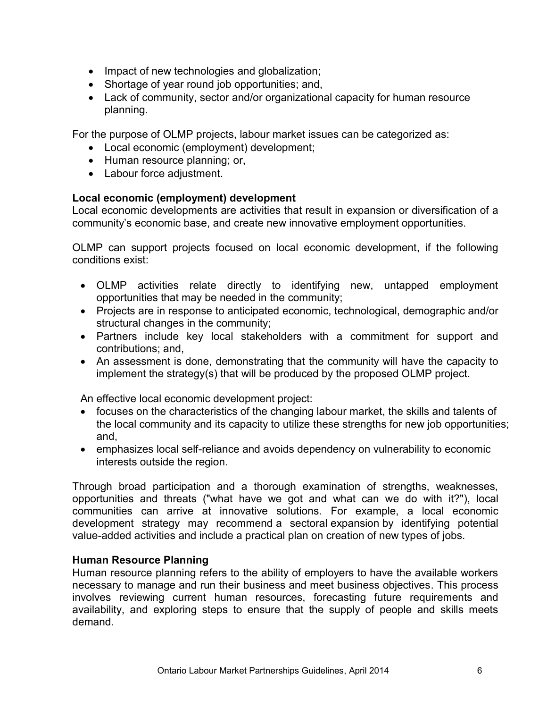- Impact of new technologies and globalization;
- Shortage of year round job opportunities; and,
- Lack of community, sector and/or organizational capacity for human resource planning.

For the purpose of OLMP projects, labour market issues can be categorized as:

- Local economic (employment) development;
- Human resource planning; or,
- Labour force adjustment.

# **Local economic (employment) development**

Local economic developments are activities that result in expansion or diversification of a community's economic base, and create new innovative employment opportunities.

OLMP can support projects focused on local economic development, if the following conditions exist:

- OLMP activities relate directly to identifying new, untapped employment opportunities that may be needed in the community;
- Projects are in response to anticipated economic, technological, demographic and/or structural changes in the community;
- Partners include key local stakeholders with a commitment for support and contributions; and,
- An assessment is done, demonstrating that the community will have the capacity to implement the strategy(s) that will be produced by the proposed OLMP project.

An effective local economic development project:

- focuses on the characteristics of the changing labour market, the skills and talents of the local community and its capacity to utilize these strengths for new job opportunities; and,
- emphasizes local self-reliance and avoids dependency on vulnerability to economic interests outside the region.

Through broad participation and a thorough examination of strengths, weaknesses, opportunities and threats ("what have we got and what can we do with it?"), local communities can arrive at innovative solutions. For example, a local economic development strategy may recommend a sectoral expansion by identifying potential value-added activities and include a practical plan on creation of new types of jobs.

## **Human Resource Planning**

Human resource planning refers to the ability of employers to have the available workers necessary to manage and run their business and meet business objectives. This process involves reviewing current human resources, forecasting future requirements and availability, and exploring steps to ensure that the supply of people and skills meets demand.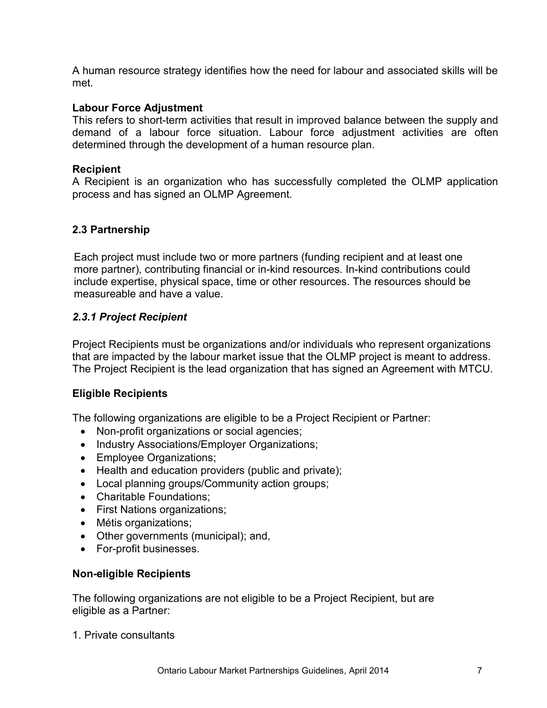A human resource strategy identifies how the need for labour and associated skills will be met.

## **Labour Force Adjustment**

This refers to short-term activities that result in improved balance between the supply and demand of a labour force situation. Labour force adjustment activities are often determined through the development of a human resource plan.

## **Recipient**

A Recipient is an organization who has successfully completed the OLMP application process and has signed an OLMP Agreement.

# <span id="page-6-0"></span>**2.3 Partnership**

Each project must include two or more partners (funding recipient and at least one more partner), contributing financial or in-kind resources. In-kind contributions could include expertise, physical space, time or other resources. The resources should be measureable and have a value.

## <span id="page-6-1"></span>*2.3.1 Project Recipient*

Project Recipients must be organizations and/or individuals who represent organizations that are impacted by the labour market issue that the OLMP project is meant to address. The Project Recipient is the lead organization that has signed an Agreement with MTCU.

## **Eligible Recipients**

The following organizations are eligible to be a Project Recipient or Partner:

- Non-profit organizations or social agencies;
- Industry Associations/Employer Organizations;
- Employee Organizations;
- Health and education providers (public and private);
- Local planning groups/Community action groups;
- Charitable Foundations;
- First Nations organizations;
- Métis organizations;
- Other governments (municipal); and,
- For-profit businesses.

## **Non-eligible Recipients**

The following organizations are not eligible to be a Project Recipient, but are eligible as a Partner:

1. Private consultants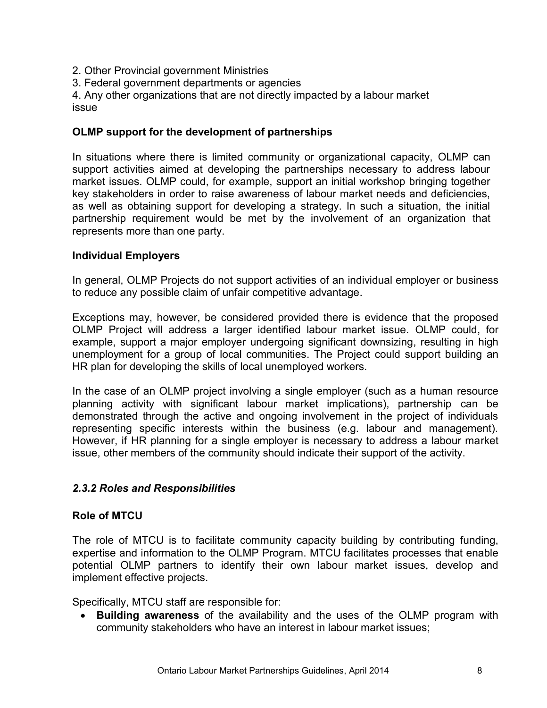- 2. Other Provincial government Ministries
- 3. Federal government departments or agencies

4. Any other organizations that are not directly impacted by a labour market issue

## **OLMP support for the development of partnerships**

In situations where there is limited community or organizational capacity, OLMP can support activities aimed at developing the partnerships necessary to address labour market issues. OLMP could, for example, support an initial workshop bringing together key stakeholders in order to raise awareness of labour market needs and deficiencies, as well as obtaining support for developing a strategy. In such a situation, the initial partnership requirement would be met by the involvement of an organization that represents more than one party.

## **Individual Employers**

In general, OLMP Projects do not support activities of an individual employer or business to reduce any possible claim of unfair competitive advantage.

Exceptions may, however, be considered provided there is evidence that the proposed OLMP Project will address a larger identified labour market issue. OLMP could, for example, support a major employer undergoing significant downsizing, resulting in high unemployment for a group of local communities. The Project could support building an HR plan for developing the skills of local unemployed workers.

In the case of an OLMP project involving a single employer (such as a human resource planning activity with significant labour market implications), partnership can be demonstrated through the active and ongoing involvement in the project of individuals representing specific interests within the business (e.g. labour and management). However, if HR planning for a single employer is necessary to address a labour market issue, other members of the community should indicate their support of the activity.

# <span id="page-7-0"></span>*2.3.2 Roles and Responsibilities*

## **Role of MTCU**

The role of MTCU is to facilitate community capacity building by contributing funding, expertise and information to the OLMP Program. MTCU facilitates processes that enable potential OLMP partners to identify their own labour market issues, develop and implement effective projects.

Specifically, MTCU staff are responsible for:

 **Building awareness** of the availability and the uses of the OLMP program with community stakeholders who have an interest in labour market issues;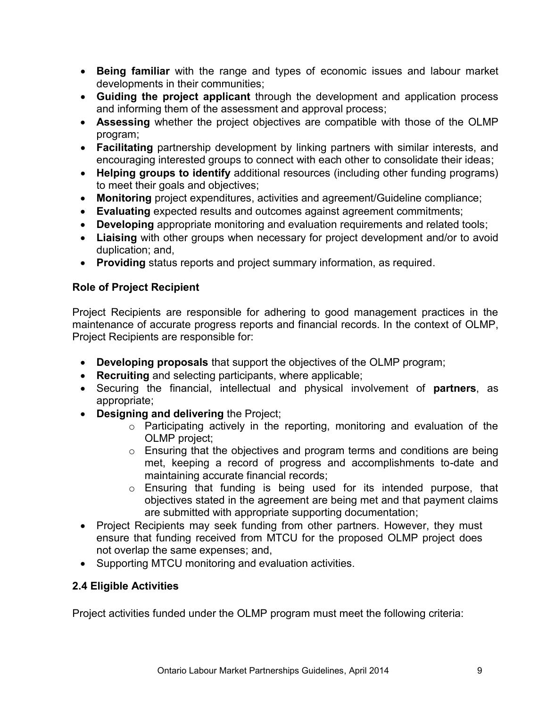- **Being familiar** with the range and types of economic issues and labour market developments in their communities;
- **Guiding the project applicant** through the development and application process and informing them of the assessment and approval process;
- **Assessing** whether the project objectives are compatible with those of the OLMP program;
- **Facilitating** partnership development by linking partners with similar interests, and encouraging interested groups to connect with each other to consolidate their ideas;
- **Helping groups to identify** additional resources (including other funding programs) to meet their goals and objectives;
- **Monitoring** project expenditures, activities and agreement/Guideline compliance;
- **Evaluating** expected results and outcomes against agreement commitments;
- **Developing** appropriate monitoring and evaluation requirements and related tools;
- **Liaising** with other groups when necessary for project development and/or to avoid duplication; and,
- **Providing** status reports and project summary information, as required.

# **Role of Project Recipient**

Project Recipients are responsible for adhering to good management practices in the maintenance of accurate progress reports and financial records. In the context of OLMP, Project Recipients are responsible for:

- **Developing proposals** that support the objectives of the OLMP program;
- **Recruiting** and selecting participants, where applicable;
- Securing the financial, intellectual and physical involvement of **partners**, as appropriate;
- **Designing and delivering** the Project;
	- o Participating actively in the reporting, monitoring and evaluation of the OLMP project;
	- o Ensuring that the objectives and program terms and conditions are being met, keeping a record of progress and accomplishments to-date and maintaining accurate financial records;
	- o Ensuring that funding is being used for its intended purpose, that objectives stated in the agreement are being met and that payment claims are submitted with appropriate supporting documentation;
- Project Recipients may seek funding from other partners. However, they must ensure that funding received from MTCU for the proposed OLMP project does not overlap the same expenses; and,
- Supporting MTCU monitoring and evaluation activities.

# <span id="page-8-0"></span>**2.4 Eligible Activities**

Project activities funded under the OLMP program must meet the following criteria: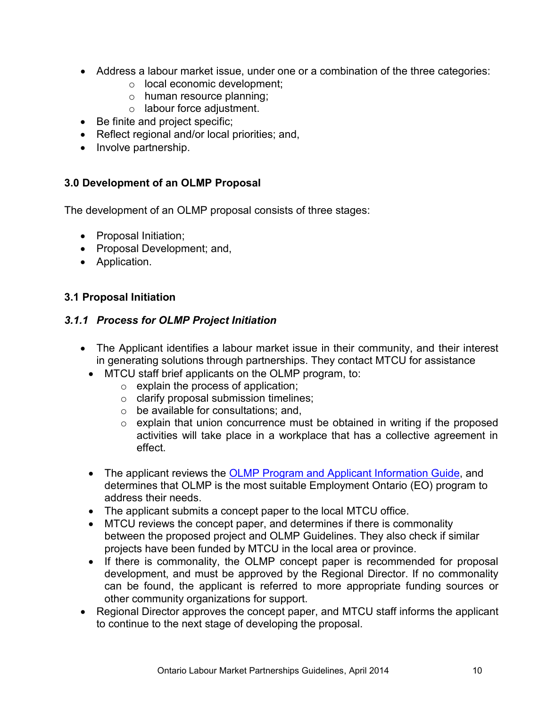- Address a labour market issue, under one or a combination of the three categories:
	- o local economic development;
	- o human resource planning;
	- o labour force adjustment.
- Be finite and project specific;
- Reflect regional and/or local priorities; and,
- Involve partnership.

## <span id="page-9-0"></span>**3.0 Development of an OLMP Proposal**

The development of an OLMP proposal consists of three stages:

- Proposal Initiation;
- Proposal Development; and,
- Application.

# <span id="page-9-1"></span>**3.1 Proposal Initiation**

## <span id="page-9-2"></span>*3.1.1 Process for OLMP Project Initiation*

- The Applicant identifies a labour market issue in their community, and their interest in generating solutions through partnerships. They contact MTCU for assistance
	- MTCU staff brief applicants on the OLMP program, to:
		- $\circ$  explain the process of application;
		- o clarify proposal submission timelines;
		- $\circ$  be available for consultations; and,
		- o explain that union concurrence must be obtained in writing if the proposed activities will take place in a workplace that has a collective agreement in effect.
	- The applicant reviews the **OLMP Program and Applicant Information Guide**, and determines that OLMP is the most suitable Employment Ontario (EO) program to address their needs.
	- The applicant submits a concept paper to the local MTCU office.
	- MTCU reviews the concept paper, and determines if there is commonality between the proposed project and OLMP Guidelines. They also check if similar projects have been funded by MTCU in the local area or province.
	- If there is commonality, the OLMP concept paper is recommended for proposal development, and must be approved by the Regional Director. If no commonality can be found, the applicant is referred to more appropriate funding sources or other community organizations for support.
- Regional Director approves the concept paper, and MTCU staff informs the applicant to continue to the next stage of developing the proposal.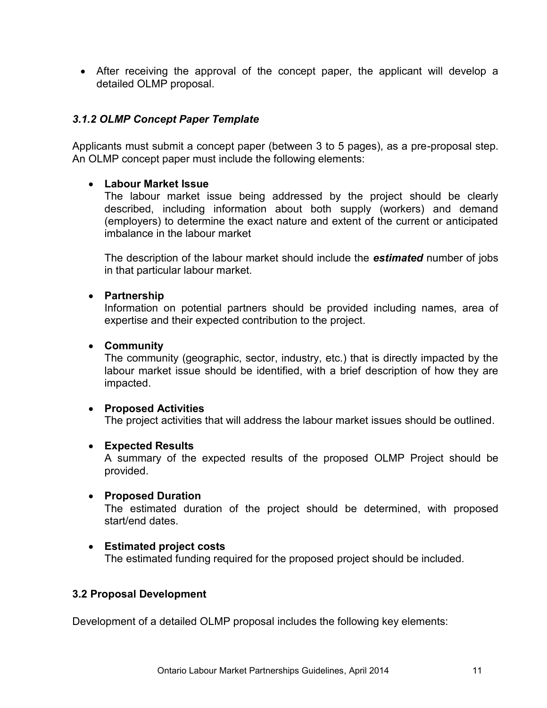After receiving the approval of the concept paper, the applicant will develop a detailed OLMP proposal.

#### <span id="page-10-0"></span>*3.1.2 OLMP Concept Paper Template*

Applicants must submit a concept paper (between 3 to 5 pages), as a pre-proposal step. An OLMP concept paper must include the following elements:

#### **Labour Market Issue**

The labour market issue being addressed by the project should be clearly described, including information about both supply (workers) and demand (employers) to determine the exact nature and extent of the current or anticipated imbalance in the labour market

The description of the labour market should include the *estimated* number of jobs in that particular labour market.

#### **Partnership**

Information on potential partners should be provided including names, area of expertise and their expected contribution to the project.

#### **Community**

The community (geographic, sector, industry, etc.) that is directly impacted by the labour market issue should be identified, with a brief description of how they are impacted.

#### **Proposed Activities**

The project activities that will address the labour market issues should be outlined.

#### **Expected Results**

A summary of the expected results of the proposed OLMP Project should be provided.

#### **Proposed Duration**

The estimated duration of the project should be determined, with proposed start/end dates.

# **Estimated project costs**

The estimated funding required for the proposed project should be included.

#### <span id="page-10-1"></span>**3.2 Proposal Development**

Development of a detailed OLMP proposal includes the following key elements: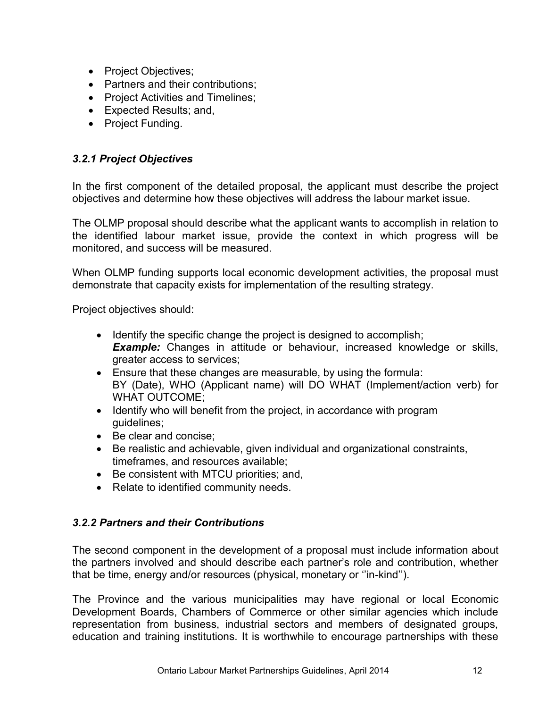- Project Objectives;
- Partners and their contributions:
- Project Activities and Timelines;
- Expected Results; and,
- Project Funding.

# <span id="page-11-0"></span>*3.2.1 Project Objectives*

In the first component of the detailed proposal, the applicant must describe the project objectives and determine how these objectives will address the labour market issue.

The OLMP proposal should describe what the applicant wants to accomplish in relation to the identified labour market issue, provide the context in which progress will be monitored, and success will be measured.

When OLMP funding supports local economic development activities, the proposal must demonstrate that capacity exists for implementation of the resulting strategy.

Project objectives should:

- Identify the specific change the project is designed to accomplish; **Example:** Changes in attitude or behaviour, increased knowledge or skills, greater access to services;
- Ensure that these changes are measurable, by using the formula: BY (Date), WHO (Applicant name) will DO WHAT (Implement/action verb) for WHAT OUTCOME;
- Identify who will benefit from the project, in accordance with program guidelines;
- Be clear and concise:
- Be realistic and achievable, given individual and organizational constraints, timeframes, and resources available;
- Be consistent with MTCU priorities; and,
- Relate to identified community needs.

# <span id="page-11-1"></span>*3.2.2 Partners and their Contributions*

The second component in the development of a proposal must include information about the partners involved and should describe each partner's role and contribution, whether that be time, energy and/or resources (physical, monetary or ''in-kind'').

The Province and the various municipalities may have regional or local Economic Development Boards, Chambers of Commerce or other similar agencies which include representation from business, industrial sectors and members of designated groups, education and training institutions. It is worthwhile to encourage partnerships with these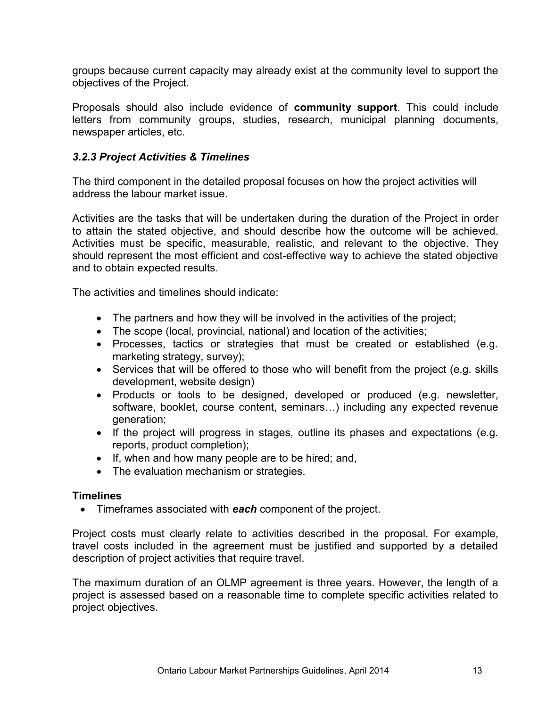groups because current capacity may already exist at the community level to support the objectives of the Project.

Proposals should also include evidence of **community support**. This could include letters from community groups, studies, research, municipal planning documents, newspaper articles, etc.

# <span id="page-12-0"></span>*3.2.3 Project Activities & Timelines*

The third component in the detailed proposal focuses on how the project activities will address the labour market issue.

Activities are the tasks that will be undertaken during the duration of the Project in order to attain the stated objective, and should describe how the outcome will be achieved. Activities must be specific, measurable, realistic, and relevant to the objective. They should represent the most efficient and cost-effective way to achieve the stated objective and to obtain expected results.

The activities and timelines should indicate:

- The partners and how they will be involved in the activities of the project;
- The scope (local, provincial, national) and location of the activities;
- Processes, tactics or strategies that must be created or established (e.g. marketing strategy, survey);
- Services that will be offered to those who will benefit from the project (e.g. skills development, website design)
- Products or tools to be designed, developed or produced (e.g. newsletter, software, booklet, course content, seminars…) including any expected revenue generation;
- If the project will progress in stages, outline its phases and expectations (e.g. reports, product completion);
- If, when and how many people are to be hired; and,
- The evaluation mechanism or strategies.

## **Timelines**

Timeframes associated with *each* component of the project.

Project costs must clearly relate to activities described in the proposal. For example, travel costs included in the agreement must be justified and supported by a detailed description of project activities that require travel.

<span id="page-12-1"></span>The maximum duration of an OLMP agreement is three years. However, the length of a project is assessed based on a reasonable time to complete specific activities related to project objectives.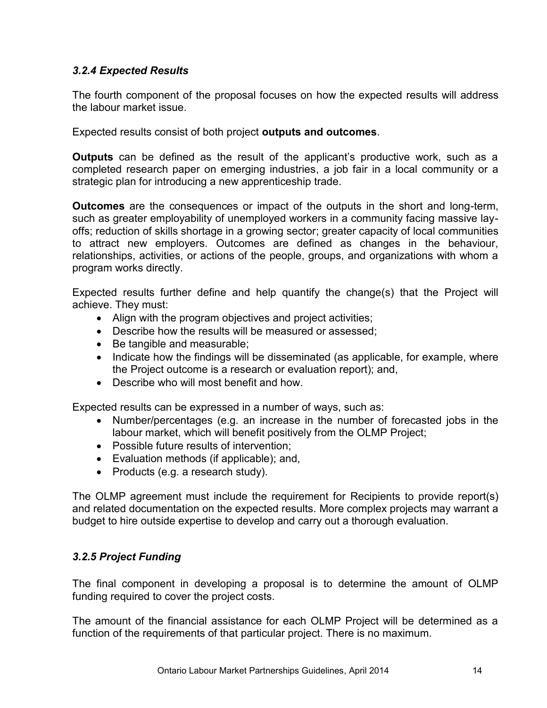# *3.2.4 Expected Results*

The fourth component of the proposal focuses on how the expected results will address the labour market issue.

Expected results consist of both project **outputs and outcomes**.

**Outputs** can be defined as the result of the applicant's productive work, such as a completed research paper on emerging industries, a job fair in a local community or a strategic plan for introducing a new apprenticeship trade.

**Outcomes** are the consequences or impact of the outputs in the short and long-term, such as greater employability of unemployed workers in a community facing massive layoffs; reduction of skills shortage in a growing sector; greater capacity of local communities to attract new employers. Outcomes are defined as changes in the behaviour, relationships, activities, or actions of the people, groups, and organizations with whom a program works directly.

Expected results further define and help quantify the change(s) that the Project will achieve. They must:

- Align with the program objectives and project activities;
- Describe how the results will be measured or assessed;
- Be tangible and measurable;
- Indicate how the findings will be disseminated (as applicable, for example, where the Project outcome is a research or evaluation report); and,
- Describe who will most benefit and how.

Expected results can be expressed in a number of ways, such as:

- Number/percentages (e.g. an increase in the number of forecasted jobs in the labour market, which will benefit positively from the OLMP Project;
- Possible future results of intervention;
- Evaluation methods (if applicable); and,
- Products (e.g. a research study).

The OLMP agreement must include the requirement for Recipients to provide report(s) and related documentation on the expected results. More complex projects may warrant a budget to hire outside expertise to develop and carry out a thorough evaluation.

# <span id="page-13-0"></span>*3.2.5 Project Funding*

The final component in developing a proposal is to determine the amount of OLMP funding required to cover the project costs.

The amount of the financial assistance for each OLMP Project will be determined as a function of the requirements of that particular project. There is no maximum.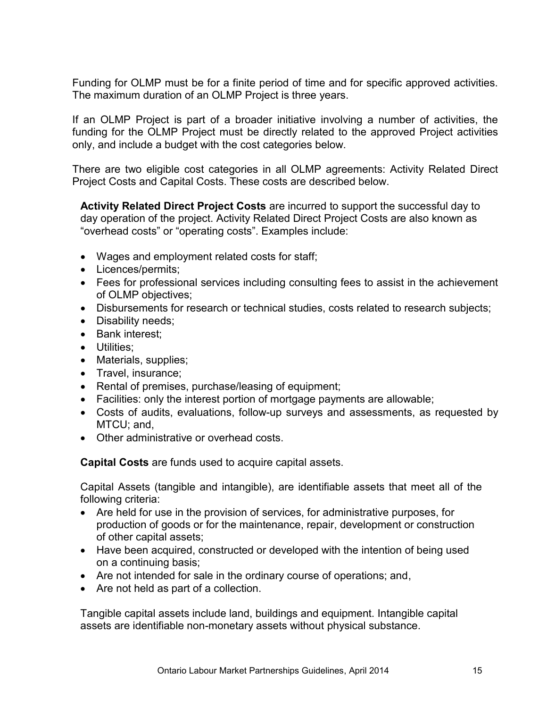Funding for OLMP must be for a finite period of time and for specific approved activities. The maximum duration of an OLMP Project is three years.

If an OLMP Project is part of a broader initiative involving a number of activities, the funding for the OLMP Project must be directly related to the approved Project activities only, and include a budget with the cost categories below.

There are two eligible cost categories in all OLMP agreements: Activity Related Direct Project Costs and Capital Costs. These costs are described below.

**Activity Related Direct Project Costs** are incurred to support the successful day to day operation of the project. Activity Related Direct Project Costs are also known as "overhead costs" or "operating costs". Examples include:

- Wages and employment related costs for staff;
- Licences/permits;
- Fees for professional services including consulting fees to assist in the achievement of OLMP objectives;
- Disbursements for research or technical studies, costs related to research subjects;
- Disability needs;
- Bank interest;
- Utilities:
- Materials, supplies;
- Travel, insurance;
- Rental of premises, purchase/leasing of equipment;
- Facilities: only the interest portion of mortgage payments are allowable;
- Costs of audits, evaluations, follow-up surveys and assessments, as requested by MTCU; and,
- Other administrative or overhead costs.

**Capital Costs** are funds used to acquire capital assets.

Capital Assets (tangible and intangible), are identifiable assets that meet all of the following criteria:

- Are held for use in the provision of services, for administrative purposes, for production of goods or for the maintenance, repair, development or construction of other capital assets;
- Have been acquired, constructed or developed with the intention of being used on a continuing basis;
- Are not intended for sale in the ordinary course of operations; and,
- Are not held as part of a collection.

Tangible capital assets include land, buildings and equipment. Intangible capital assets are identifiable non-monetary assets without physical substance.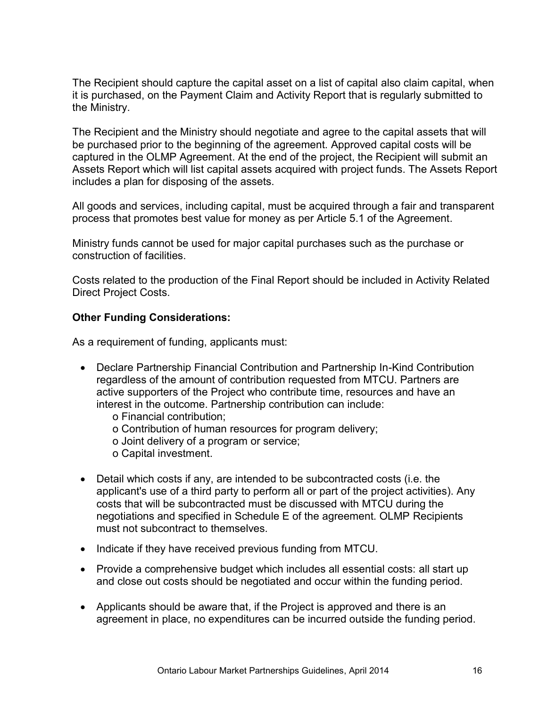The Recipient should capture the capital asset on a list of capital also claim capital, when it is purchased, on the Payment Claim and Activity Report that is regularly submitted to the Ministry.

The Recipient and the Ministry should negotiate and agree to the capital assets that will be purchased prior to the beginning of the agreement. Approved capital costs will be captured in the OLMP Agreement. At the end of the project, the Recipient will submit an Assets Report which will list capital assets acquired with project funds. The Assets Report includes a plan for disposing of the assets.

All goods and services, including capital, must be acquired through a fair and transparent process that promotes best value for money as per Article 5.1 of the Agreement.

Ministry funds cannot be used for major capital purchases such as the purchase or construction of facilities.

Costs related to the production of the Final Report should be included in Activity Related Direct Project Costs.

# **Other Funding Considerations:**

As a requirement of funding, applicants must:

- Declare Partnership Financial Contribution and Partnership In-Kind Contribution regardless of the amount of contribution requested from MTCU. Partners are active supporters of the Project who contribute time, resources and have an interest in the outcome. Partnership contribution can include:
	- o Financial contribution;
	- o Contribution of human resources for program delivery;
	- o Joint delivery of a program or service;
	- o Capital investment.
- Detail which costs if any, are intended to be subcontracted costs (i.e. the applicant's use of a third party to perform all or part of the project activities). Any costs that will be subcontracted must be discussed with MTCU during the negotiations and specified in Schedule E of the agreement. OLMP Recipients must not subcontract to themselves.
- Indicate if they have received previous funding from MTCU.
- Provide a comprehensive budget which includes all essential costs: all start up and close out costs should be negotiated and occur within the funding period.
- Applicants should be aware that, if the Project is approved and there is an agreement in place, no expenditures can be incurred outside the funding period.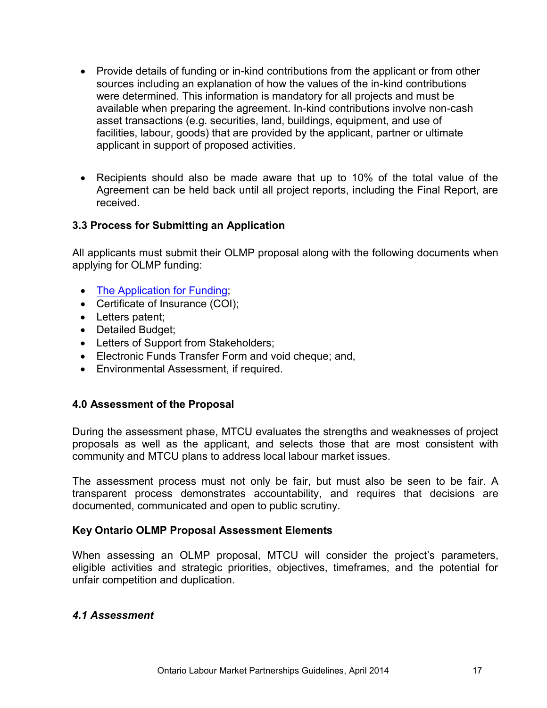- <span id="page-16-2"></span>• Provide details of funding or in-kind contributions from the applicant or from other sources including an explanation of how the values of the in-kind contributions were determined. This information is mandatory for all projects and must be available when preparing the agreement. In-kind contributions involve non-cash asset transactions (e.g. securities, land, buildings, equipment, and use of facilities, labour, goods) that are provided by the applicant, partner or ultimate applicant in support of proposed activities.
- Recipients should also be made aware that up to 10% of the total value of the Agreement can be held back until all project reports, including the Final Report, are received.

# **3.3 Process for Submitting an Application**

All applicants must submit their OLMP proposal along with the following documents when applying for OLMP funding:

- [The Application for Funding](http://www.tcu.gov.on.ca/eng/eopg/publications/eo-form-sponsor-application-funding-en.pdf);
- Certificate of Insurance (COI);
- Letters patent;
- Detailed Budget;
- Letters of Support from Stakeholders;
- Electronic Funds Transfer Form and void cheque; and,
- Environmental Assessment, if required.

## <span id="page-16-0"></span>**4.0 Assessment of the Proposal**

During the assessment phase, MTCU evaluates the strengths and weaknesses of project proposals as well as the applicant, and selects those that are most consistent with community and MTCU plans to address local labour market issues.

The assessment process must not only be fair, but must also be seen to be fair. A transparent process demonstrates accountability, and requires that decisions are documented, communicated and open to public scrutiny.

## **Key Ontario OLMP Proposal Assessment Elements**

When assessing an OLMP proposal, MTCU will consider the project's parameters, eligible activities and strategic priorities, objectives, timeframes, and the potential for unfair competition and duplication.

#### <span id="page-16-1"></span>*4.1 Assessment*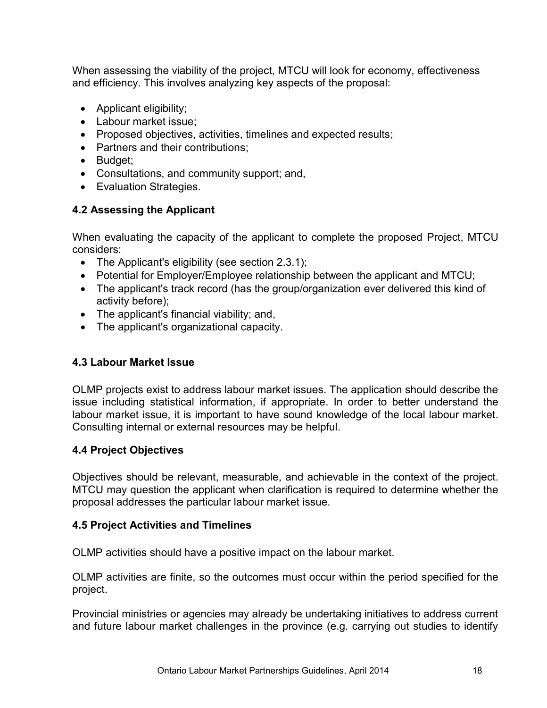When assessing the viability of the project, MTCU will look for economy, effectiveness and efficiency. This involves analyzing key aspects of the proposal:

- Applicant eligibility;
- Labour market issue;
- Proposed objectives, activities, timelines and expected results;
- Partners and their contributions;
- Budget:
- Consultations, and community support; and,
- Evaluation Strategies.

# <span id="page-17-0"></span>**4.2 Assessing the Applicant**

When evaluating the capacity of the applicant to complete the proposed Project, MTCU considers:

- The Applicant's eligibility (see section 2.3.1);
- Potential for Employer/Employee relationship between the applicant and MTCU;
- The applicant's track record (has the group/organization ever delivered this kind of activity before);
- The applicant's financial viability; and,
- The applicant's organizational capacity.

## <span id="page-17-1"></span>**4.3 Labour Market Issue**

OLMP projects exist to address labour market issues. The application should describe the issue including statistical information, if appropriate. In order to better understand the labour market issue, it is important to have sound knowledge of the local labour market. Consulting internal or external resources may be helpful.

# <span id="page-17-2"></span>**4.4 Project Objectives**

Objectives should be relevant, measurable, and achievable in the context of the project. MTCU may question the applicant when clarification is required to determine whether the proposal addresses the particular labour market issue.

## <span id="page-17-3"></span>**4.5 Project Activities and Timelines**

OLMP activities should have a positive impact on the labour market.

OLMP activities are finite, so the outcomes must occur within the period specified for the project.

Provincial ministries or agencies may already be undertaking initiatives to address current and future labour market challenges in the province (e.g. carrying out studies to identify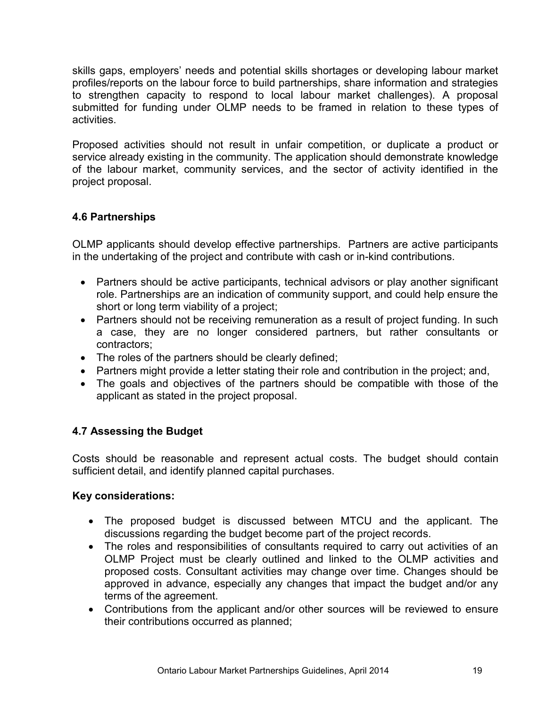skills gaps, employers' needs and potential skills shortages or developing labour market profiles/reports on the labour force to build partnerships, share information and strategies to strengthen capacity to respond to local labour market challenges). A proposal submitted for funding under OLMP needs to be framed in relation to these types of activities.

Proposed activities should not result in unfair competition, or duplicate a product or service already existing in the community. The application should demonstrate knowledge of the labour market, community services, and the sector of activity identified in the project proposal.

# <span id="page-18-0"></span>**4.6 Partnerships**

OLMP applicants should develop effective partnerships. Partners are active participants in the undertaking of the project and contribute with cash or in-kind contributions.

- Partners should be active participants, technical advisors or play another significant role. Partnerships are an indication of community support, and could help ensure the short or long term viability of a project;
- Partners should not be receiving remuneration as a result of project funding. In such a case, they are no longer considered partners, but rather consultants or contractors;
- The roles of the partners should be clearly defined;
- Partners might provide a letter stating their role and contribution in the project; and,
- The goals and objectives of the partners should be compatible with those of the applicant as stated in the project proposal.

# <span id="page-18-1"></span>**4.7 Assessing the Budget**

Costs should be reasonable and represent actual costs. The budget should contain sufficient detail, and identify planned capital purchases.

# **Key considerations:**

- The proposed budget is discussed between MTCU and the applicant. The discussions regarding the budget become part of the project records.
- The roles and responsibilities of consultants required to carry out activities of an OLMP Project must be clearly outlined and linked to the OLMP activities and proposed costs. Consultant activities may change over time. Changes should be approved in advance, especially any changes that impact the budget and/or any terms of the agreement.
- Contributions from the applicant and/or other sources will be reviewed to ensure their contributions occurred as planned;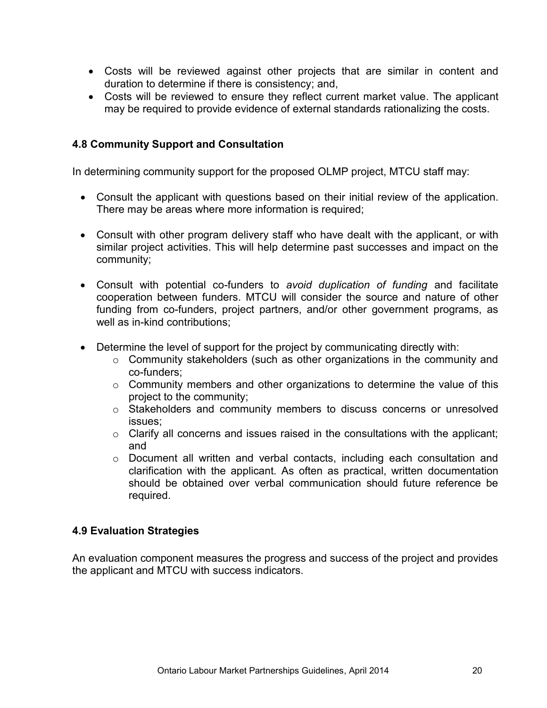- Costs will be reviewed against other projects that are similar in content and duration to determine if there is consistency; and,
- Costs will be reviewed to ensure they reflect current market value. The applicant may be required to provide evidence of external standards rationalizing the costs.

# <span id="page-19-0"></span>**4.8 Community Support and Consultation**

In determining community support for the proposed OLMP project, MTCU staff may:

- Consult the applicant with questions based on their initial review of the application. There may be areas where more information is required;
- Consult with other program delivery staff who have dealt with the applicant, or with similar project activities. This will help determine past successes and impact on the community;
- Consult with potential co-funders to *avoid duplication of funding* and facilitate cooperation between funders. MTCU will consider the source and nature of other funding from co-funders, project partners, and/or other government programs, as well as in-kind contributions;
- Determine the level of support for the project by communicating directly with:
	- o Community stakeholders (such as other organizations in the community and co-funders;
	- $\circ$  Community members and other organizations to determine the value of this project to the community;
	- o Stakeholders and community members to discuss concerns or unresolved issues;
	- $\circ$  Clarify all concerns and issues raised in the consultations with the applicant; and
	- $\circ$  Document all written and verbal contacts, including each consultation and clarification with the applicant. As often as practical, written documentation should be obtained over verbal communication should future reference be required.

## <span id="page-19-1"></span>**4.9 Evaluation Strategies**

An evaluation component measures the progress and success of the project and provides the applicant and MTCU with success indicators.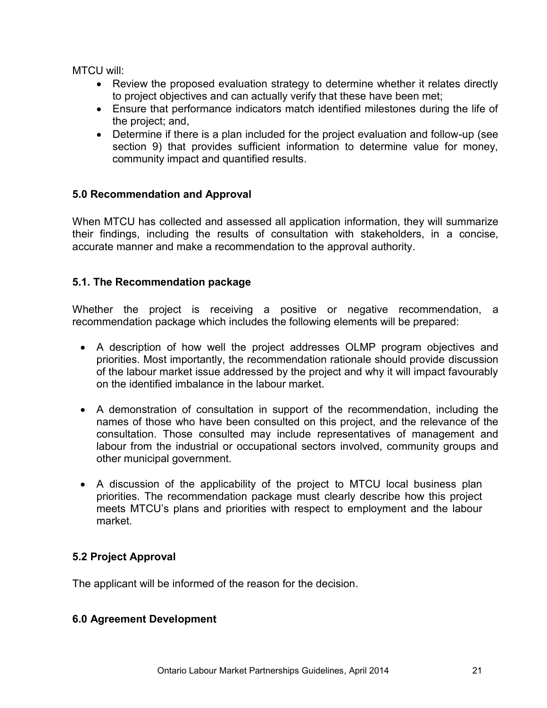MTCU will:

- Review the proposed evaluation strategy to determine whether it relates directly to project objectives and can actually verify that these have been met;
- Ensure that performance indicators match identified milestones during the life of the project; and,
- Determine if there is a plan included for the project evaluation and follow-up (see section 9) that provides sufficient information to determine value for money, community impact and quantified results.

# <span id="page-20-0"></span>**5.0 Recommendation and Approval**

When MTCU has collected and assessed all application information, they will summarize their findings, including the results of consultation with stakeholders, in a concise, accurate manner and make a recommendation to the approval authority.

# <span id="page-20-1"></span>**5.1. The Recommendation package**

Whether the project is receiving a positive or negative recommendation, a recommendation package which includes the following elements will be prepared:

- A description of how well the project addresses OLMP program objectives and priorities. Most importantly, the recommendation rationale should provide discussion of the labour market issue addressed by the project and why it will impact favourably on the identified imbalance in the labour market.
- A demonstration of consultation in support of the recommendation, including the names of those who have been consulted on this project, and the relevance of the consultation. Those consulted may include representatives of management and labour from the industrial or occupational sectors involved, community groups and other municipal government.
- A discussion of the applicability of the project to MTCU local business plan priorities. The recommendation package must clearly describe how this project meets MTCU's plans and priorities with respect to employment and the labour market.

# <span id="page-20-2"></span>**5.2 Project Approval**

The applicant will be informed of the reason for the decision.

## <span id="page-20-3"></span>**6.0 Agreement Development**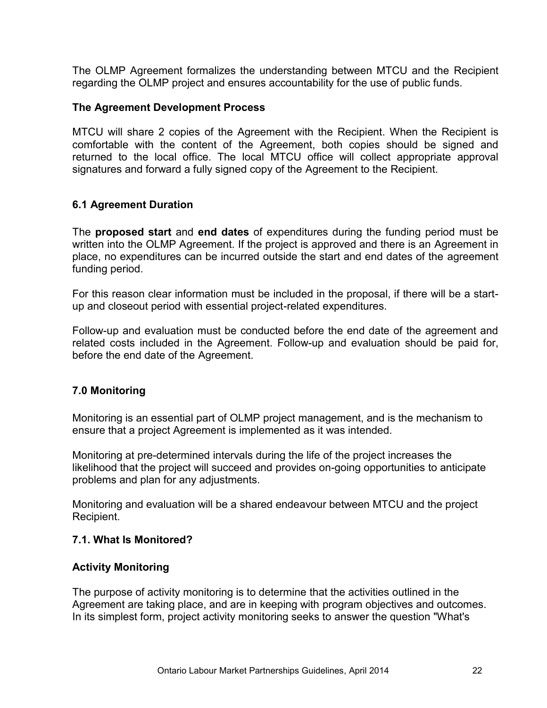The OLMP Agreement formalizes the understanding between MTCU and the Recipient regarding the OLMP project and ensures accountability for the use of public funds.

#### **The Agreement Development Process**

MTCU will share 2 copies of the Agreement with the Recipient. When the Recipient is comfortable with the content of the Agreement, both copies should be signed and returned to the local office. The local MTCU office will collect appropriate approval signatures and forward a fully signed copy of the Agreement to the Recipient.

## <span id="page-21-0"></span>**6.1 Agreement Duration**

The **proposed start** and **end dates** of expenditures during the funding period must be written into the OLMP Agreement. If the project is approved and there is an Agreement in place, no expenditures can be incurred outside the start and end dates of the agreement funding period.

For this reason clear information must be included in the proposal, if there will be a startup and closeout period with essential project-related expenditures.

Follow-up and evaluation must be conducted before the end date of the agreement and related costs included in the Agreement. Follow-up and evaluation should be paid for, before the end date of the Agreement.

## <span id="page-21-1"></span>**7.0 Monitoring**

Monitoring is an essential part of OLMP project management, and is the mechanism to ensure that a project Agreement is implemented as it was intended.

Monitoring at pre-determined intervals during the life of the project increases the likelihood that the project will succeed and provides on-going opportunities to anticipate problems and plan for any adjustments.

Monitoring and evaluation will be a shared endeavour between MTCU and the project Recipient.

#### <span id="page-21-2"></span>**7.1. What Is Monitored?**

#### **Activity Monitoring**

The purpose of activity monitoring is to determine that the activities outlined in the Agreement are taking place, and are in keeping with program objectives and outcomes. In its simplest form, project activity monitoring seeks to answer the question "What's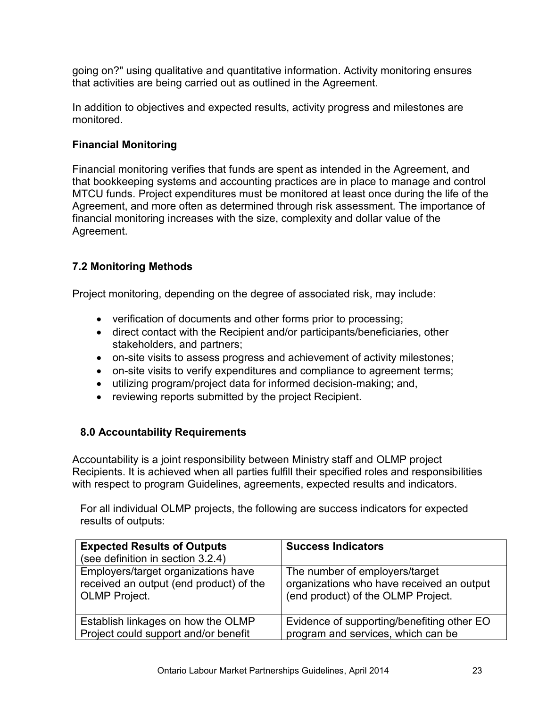going on?" using qualitative and quantitative information. Activity monitoring ensures that activities are being carried out as outlined in the Agreement.

In addition to objectives and expected results, activity progress and milestones are monitored.

# **Financial Monitoring**

Financial monitoring verifies that funds are spent as intended in the Agreement, and that bookkeeping systems and accounting practices are in place to manage and control MTCU funds. Project expenditures must be monitored at least once during the life of the Agreement, and more often as determined through risk assessment. The importance of financial monitoring increases with the size, complexity and dollar value of the Agreement.

# <span id="page-22-0"></span>**7.2 Monitoring Methods**

Project monitoring, depending on the degree of associated risk, may include:

- verification of documents and other forms prior to processing;
- direct contact with the Recipient and/or participants/beneficiaries, other stakeholders, and partners;
- on-site visits to assess progress and achievement of activity milestones;
- on-site visits to verify expenditures and compliance to agreement terms;
- utilizing program/project data for informed decision-making; and,
- reviewing reports submitted by the project Recipient.

## <span id="page-22-1"></span>**8.0 Accountability Requirements**

Accountability is a joint responsibility between Ministry staff and OLMP project Recipients. It is achieved when all parties fulfill their specified roles and responsibilities with respect to program Guidelines, agreements, expected results and indicators.

For all individual OLMP projects, the following are success indicators for expected results of outputs:

| <b>Expected Results of Outputs</b>                                                                     | <b>Success Indicators</b>                                                                                         |
|--------------------------------------------------------------------------------------------------------|-------------------------------------------------------------------------------------------------------------------|
| (see definition in section 3.2.4)                                                                      |                                                                                                                   |
| Employers/target organizations have<br>received an output (end product) of the<br><b>OLMP</b> Project. | The number of employers/target<br>organizations who have received an output<br>(end product) of the OLMP Project. |
| Establish linkages on how the OLMP                                                                     | Evidence of supporting/benefiting other EO                                                                        |
| Project could support and/or benefit                                                                   | program and services, which can be                                                                                |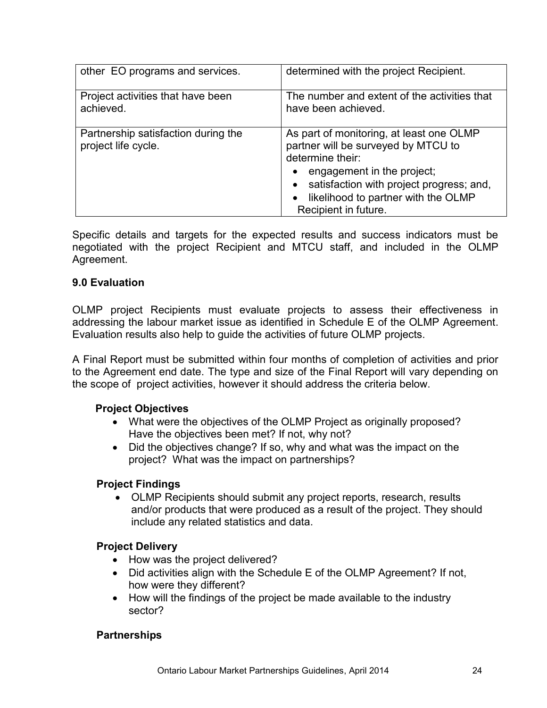| other EO programs and services.                            | determined with the project Recipient.                                                                                                                                                                                                       |
|------------------------------------------------------------|----------------------------------------------------------------------------------------------------------------------------------------------------------------------------------------------------------------------------------------------|
| Project activities that have been<br>achieved.             | The number and extent of the activities that<br>have been achieved.                                                                                                                                                                          |
| Partnership satisfaction during the<br>project life cycle. | As part of monitoring, at least one OLMP<br>partner will be surveyed by MTCU to<br>determine their:<br>engagement in the project;<br>satisfaction with project progress; and,<br>likelihood to partner with the OLMP<br>Recipient in future. |

Specific details and targets for the expected results and success indicators must be negotiated with the project Recipient and MTCU staff, and included in the OLMP Agreement.

# <span id="page-23-0"></span>**9.0 Evaluation**

OLMP project Recipients must evaluate projects to assess their effectiveness in addressing the labour market issue as identified in Schedule E of the OLMP Agreement. Evaluation results also help to guide the activities of future OLMP projects.

A Final Report must be submitted within four months of completion of activities and prior to the Agreement end date. The type and size of the Final Report will vary depending on the scope of project activities, however it should address the criteria below.

## **Project Objectives**

- What were the objectives of the OLMP Project as originally proposed? Have the objectives been met? If not, why not?
- Did the objectives change? If so, why and what was the impact on the project? What was the impact on partnerships?

## **Project Findings**

 OLMP Recipients should submit any project reports, research, results and/or products that were produced as a result of the project. They should include any related statistics and data.

## **Project Delivery**

- How was the project delivered?
- Did activities align with the Schedule E of the OLMP Agreement? If not, how were they different?
- How will the findings of the project be made available to the industry sector?

## **Partnerships**